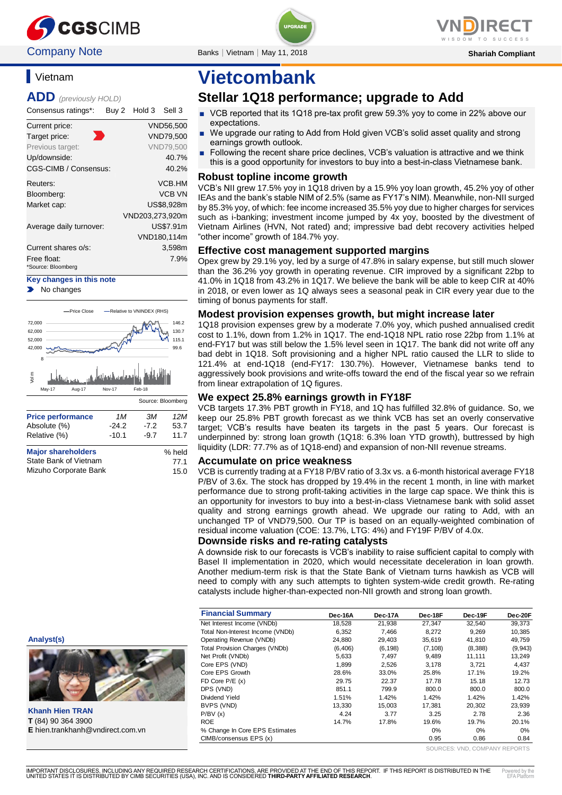

### **Company Note** Banks | Vietnam | May 11, 2018 **Shariah Compliant** Shariah Compliant

**Vietnam** 

**ADD** *(previously HOLD)*

Consensus ratings\*: Buy 2 Hold 3 Sell 3

| Current price:          | <b>VND56.500</b> |
|-------------------------|------------------|
| Target price:           | <b>VND79,500</b> |
| Previous target:        | <b>VND79.500</b> |
| Up/downside:            | 40.7%            |
| CGS-CIMB / Consensus:   | 40.2%            |
| Reuters:                | VCB.HM           |
| Bloomberg:              | <b>VCB VN</b>    |
| Market cap:             | US\$8,928m       |
|                         | VND203,273,920m  |
| Average daily turnover: | US\$7.91m        |
|                         | VND180,114m      |
| Current shares o/s:     | 3,598m           |
| Free float:             | 7.9%             |
| *Source: Bloomberg      |                  |

**Key changes in this note** No changes



Mizuho Corporate Bank 15.0

# **Vietcombank**

### **Stellar 1Q18 performance; upgrade to Add**

- VCB reported that its 1Q18 pre-tax profit grew 59.3% yoy to come in 22% above our expectations.
- We upgrade our rating to Add from Hold given VCB's solid asset quality and strong earnings growth outlook.
- Following the recent share price declines, VCB's valuation is attractive and we think this is a good opportunity for investors to buy into a best-in-class Vietnamese bank.

#### **Robust topline income growth**

VCB's NII grew 17.5% yoy in 1Q18 driven by a 15.9% yoy loan growth, 45.2% yoy of other IEAs and the bank's stable NIM of 2.5% (same as FY17's NIM). Meanwhile, non-NII surged by 85.3% yoy, of which: fee income increased 35.5% yoy due to higher charges for services such as i-banking; investment income jumped by 4x yoy, boosted by the divestment of Vietnam Airlines (HVN, Not rated) and; impressive bad debt recovery activities helped "other income" growth of 184.7% yoy.

#### **Effective cost management supported margins**

Opex grew by 29.1% yoy, led by a surge of 47.8% in salary expense, but still much slower than the 36.2% yoy growth in operating revenue. CIR improved by a significant 22bp to 41.0% in 1Q18 from 43.2% in 1Q17. We believe the bank will be able to keep CIR at 40% in 2018, or even lower as 1Q always sees a seasonal peak in CIR every year due to the timing of bonus payments for staff.

#### **Modest provision expenses growth, but might increase later**

1Q18 provision expenses grew by a moderate 7.0% yoy, which pushed annualised credit cost to 1.1%, down from 1.2% in 1Q17. The end-1Q18 NPL ratio rose 22bp from 1.1% at end-FY17 but was still below the 1.5% level seen in 1Q17. The bank did not write off any bad debt in 1Q18. Soft provisioning and a higher NPL ratio caused the LLR to slide to 121.4% at end-1Q18 (end-FY17: 130.7%). However, Vietnamese banks tend to aggressively book provisions and write-offs toward the end of the fiscal year so we refrain from linear extrapolation of 1Q figures.

#### **We expect 25.8% earnings growth in FY18F**

VCB targets 17.3% PBT growth in FY18, and 1Q has fulfilled 32.8% of guidance. So, we keep our 25.8% PBT growth forecast as we think VCB has set an overly conservative target; VCB's results have beaten its targets in the past 5 years. Our forecast is underpinned by: strong loan growth (1Q18: 6.3% loan YTD growth), buttressed by high liquidity (LDR: 77.7% as of 1Q18-end) and expansion of non-NII revenue streams.

#### **Accumulate on price weakness**

VCB is currently trading at a FY18 P/BV ratio of 3.3x vs. a 6-month historical average FY18 P/BV of 3.6x. The stock has dropped by 19.4% in the recent 1 month, in line with market performance due to strong profit-taking activities in the large cap space. We think this is an opportunity for investors to buy into a best-in-class Vietnamese bank with solid asset quality and strong earnings growth ahead. We upgrade our rating to Add, with an unchanged TP of VND79,500. Our TP is based on an equally-weighted combination of residual income valuation (COE: 13.7%, LTG: 4%) and FY19F P/BV of 4.0x.

#### **Downside risks and re-rating catalysts**

A downside risk to our forecasts is VCB's inability to raise sufficient capital to comply with Basel II implementation in 2020, which would necessitate deceleration in loan growth. Another medium-term risk is that the State Bank of Vietnam turns hawkish as VCB will need to comply with any such attempts to tighten system-wide credit growth. Re-rating catalysts include higher-than-expected non-NII growth and strong loan growth.

|                                  | <b>Financial Summary</b>              | Dec-16A  | Dec-17A  | Dec-18F  | Dec-19F | Dec-20F  |
|----------------------------------|---------------------------------------|----------|----------|----------|---------|----------|
|                                  | Net Interest Income (VNDb)            | 18,528   | 21,938   | 27.347   | 32,540  | 39,373   |
|                                  | Total Non-Interest Income (VNDb)      | 6,352    | 7,466    | 8,272    | 9,269   | 10,385   |
| Analyst(s)                       | Operating Revenue (VNDb)              | 24,880   | 29,403   | 35,619   | 41,810  | 49,759   |
|                                  | <b>Total Provision Charges (VNDb)</b> | (6, 406) | (6, 198) | (7, 108) | (8,388) | (9, 943) |
|                                  | Net Profit (VNDb)                     | 5,633    | 7,497    | 9,489    | 11,111  | 13,249   |
|                                  | Core EPS (VND)                        | 1.899    | 2,526    | 3,178    | 3.721   | 4,437    |
|                                  | Core EPS Growth                       | 28.6%    | 33.0%    | 25.8%    | 17.1%   | 19.2%    |
|                                  | $FD$ Core $P/E$ $(x)$                 | 29.75    | 22.37    | 17.78    | 15.18   | 12.73    |
|                                  | DPS (VND)                             | 851.1    | 799.9    | 800.0    | 800.0   | 800.0    |
|                                  | Dividend Yield                        | 1.51%    | 1.42%    | 1.42%    | 1.42%   | 1.42%    |
|                                  | BVPS (VND)                            | 13,330   | 15,003   | 17.381   | 20.302  | 23,939   |
| <b>Khanh Hien TRAN</b>           | P/BV(x)                               | 4.24     | 3.77     | 3.25     | 2.78    | 2.36     |
| <b>T</b> (84) 90 364 3900        | <b>ROE</b>                            | 14.7%    | 17.8%    | 19.6%    | 19.7%   | 20.1%    |
| E hien.trankhanh@vndirect.com.vn | % Change In Core EPS Estimates        |          |          | 0%       | 0%      | 0%       |
|                                  | CIMB/consensus EPS (x)                |          |          | 0.95     | 0.86    | 0.84     |

SOURCES: VND, COMPANY REPORTS



**Khanh Hien TRAN T** (84) 90 364 3900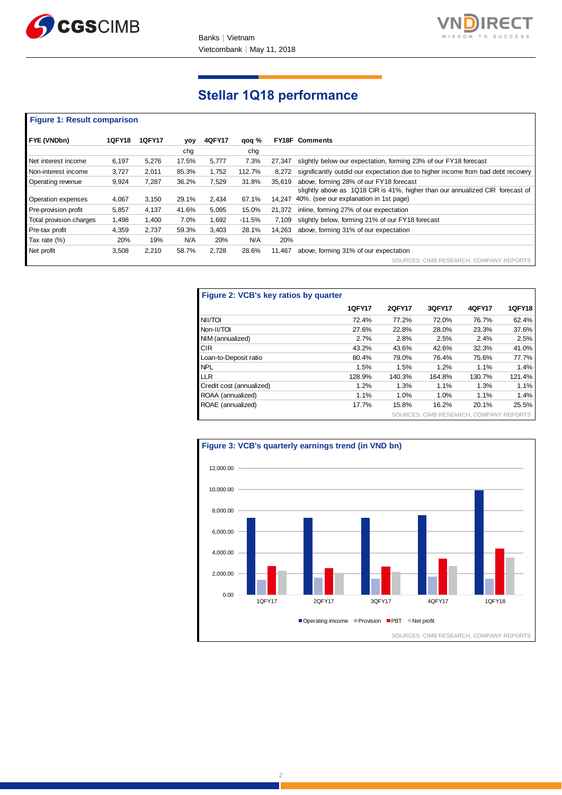



## **Stellar 1Q18 performance**

#### **Figure 1: Result comparison**

| FYE (VNDbn)             | <b>1QFY18</b> | <b>1QFY17</b> | yoy   | <b>4QFY17</b> | qoq %    |        | <b>FY18F Comments</b>                                                            |
|-------------------------|---------------|---------------|-------|---------------|----------|--------|----------------------------------------------------------------------------------|
|                         |               |               | cha   |               | chq      |        |                                                                                  |
| Net interest income     | 6.197         | 5.276         | 17.5% | 5.777         | 7.3%     | 27.347 | slightly below our expectation, forming 23% of our FY18 forecast                 |
| Non-interest income     | 3,727         | 2,011         | 85.3% | 1,752         | 112.7%   | 8.272  | significantly outdid our expectation due to higher income from bad debt recovery |
| Operating revenue       | 9.924         | 7.287         | 36.2% | 7.529         | 31.8%    | 35.619 | above, forming 28% of our FY18 forecast                                          |
|                         |               |               |       |               |          |        | slightly above as 1Q18 CIR is 41%, higher than our annualized CIR forecast of    |
| Operation expenses      | 4,067         | 3,150         | 29.1% | 2.434         | 67.1%    |        | 14.247 40%. (see our explanation in 1st page)                                    |
| Pre-provision profit    | 5,857         | 4,137         | 41.6% | 5,095         | 15.0%    | 21.372 | inline, forming 27% of our expectation                                           |
| Total provision charges | 1.498         | 1.400         | 7.0%  | 1,692         | $-11.5%$ | 7.109  | slightly below, forming 21% of our FY18 forecast                                 |
| Pre-tax profit          | 4.359         | 2.737         | 59.3% | 3.403         | 28.1%    | 14.263 | above, forming 31% of our expectation                                            |
| Tax rate (%)            | 20%           | 19%           | N/A   | 20%           | N/A      | 20%    |                                                                                  |
| Net profit              | 3,508         | 2,210         | 58.7% | 2,728         | 28.6%    | 11.467 | above, forming 31% of our expectation                                            |
|                         |               |               |       |               |          |        | SOURCES: CIMB RESEARCH, COMPANY REPORTS                                          |

| Figure 2: VCB's key ratios by quarter |               |               |                                         |        |               |
|---------------------------------------|---------------|---------------|-----------------------------------------|--------|---------------|
|                                       | <b>1QFY17</b> | <b>2QFY17</b> | 3QFY17                                  | 4QFY17 | <b>1QFY18</b> |
| NII/TOI                               | 72.4%         | 77.2%         | 72.0%                                   | 76.7%  | 62.4%         |
| Non-II/TOI                            | 27.6%         | 22.8%         | 28.0%                                   | 23.3%  | 37.6%         |
| NIM (annualized)                      | 2.7%          | 2.8%          | 2.5%                                    | 2.4%   | 2.5%          |
| <b>CIR</b>                            | 43.2%         | 43.6%         | 42.6%                                   | 32.3%  | 41.0%         |
| Loan-to-Deposit ratio                 | 80.4%         | 79.0%         | 76.4%                                   | 75.6%  | 77.7%         |
| <b>NPL</b>                            | 1.5%          | 1.5%          | 1.2%                                    | 1.1%   | 1.4%          |
| <b>LLR</b>                            | 128.9%        | 140.3%        | 164.8%                                  | 130.7% | 121.4%        |
| Credit cost (annualized)              | 1.2%          | 1.3%          | 1.1%                                    | 1.3%   | 1.1%          |
| ROAA (annualized)                     | 1.1%          | 1.0%          | 1.0%                                    | 1.1%   | 1.4%          |
| ROAE (annualized)                     | 17.7%         | 15.8%         | 16.2%                                   | 20.1%  | 25.5%         |
|                                       |               |               | SOURCES: CIMB RESEARCH, COMPANY REPORTS |        |               |

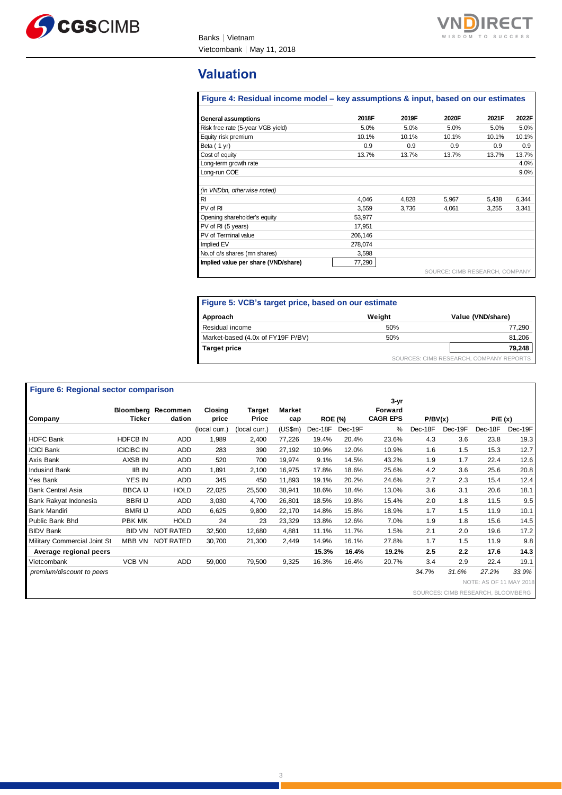



### **Valuation**

#### **Figure 4: Residual income model – key assumptions & input, based on our estimates**

| <b>General assumptions</b>          | 2018F   | 2019F | 2020F                          | 2021F | 2022F |
|-------------------------------------|---------|-------|--------------------------------|-------|-------|
| Risk free rate (5-year VGB yield)   | 5.0%    | 5.0%  | 5.0%                           | 5.0%  | 5.0%  |
| Equity risk premium                 | 10.1%   | 10.1% | 10.1%                          | 10.1% | 10.1% |
| Beta (1 yr)                         | 0.9     | 0.9   | 0.9                            | 0.9   | 0.9   |
| Cost of equity                      | 13.7%   | 13.7% | 13.7%                          | 13.7% | 13.7% |
| Long-term growth rate               |         |       |                                |       | 4.0%  |
| Long-run COE                        |         |       |                                |       | 9.0%  |
|                                     |         |       |                                |       |       |
| (in VNDbn, otherwise noted)         |         |       |                                |       |       |
| $R_{\rm I}$                         | 4.046   | 4.828 | 5.967                          | 5,438 | 6,344 |
| PV of RI                            | 3,559   | 3,736 | 4,061                          | 3,255 | 3,341 |
| Opening shareholder's equity        | 53,977  |       |                                |       |       |
| PV of RI (5 years)                  | 17.951  |       |                                |       |       |
| PV of Terminal value                | 206,146 |       |                                |       |       |
| Implied EV                          | 278,074 |       |                                |       |       |
| No. of o/s shares (mn shares)       | 3,598   |       |                                |       |       |
| Implied value per share (VND/share) | 77,290  |       |                                |       |       |
|                                     |         |       | SOURCE: CIMB RESEARCH, COMPANY |       |       |

| Figure 5: VCB's target price, based on our estimate |        |                   |  |  |  |  |  |  |
|-----------------------------------------------------|--------|-------------------|--|--|--|--|--|--|
| Approach                                            | Weight | Value (VND/share) |  |  |  |  |  |  |
| Residual income                                     | 50%    | 77.290            |  |  |  |  |  |  |
| Market-based (4.0x of FY19F P/BV)                   | 50%    | 81,206            |  |  |  |  |  |  |
| <b>Target price</b>                                 | 79,248 |                   |  |  |  |  |  |  |
| SOURCES: CIMB RESEARCH, COMPANY REPORTS             |        |                   |  |  |  |  |  |  |

#### **Figure 6: Regional sector comparison**

|                              |                   | <b>Bloomberg Recommen</b> | Closing       | <b>Target</b> | <b>Market</b> |                |         | 3-yr<br>Forward |         |               |                                   |         |
|------------------------------|-------------------|---------------------------|---------------|---------------|---------------|----------------|---------|-----------------|---------|---------------|-----------------------------------|---------|
| Company                      | Ticker            | dation                    | price         | Price         | cap           | <b>ROE (%)</b> |         | <b>CAGR EPS</b> | P/BV(x) |               | P/E(x)                            |         |
|                              |                   |                           | (local curr.) | (local curr.) | (US\$m)       | Dec-18F        | Dec-19F | %               | Dec-18F | Dec-19F       | Dec-18F                           | Dec-19F |
| <b>HDFC Bank</b>             | <b>HDFCB IN</b>   | <b>ADD</b>                | 1,989         | 2,400         | 77,226        | 19.4%          | 20.4%   | 23.6%           | 4.3     | 3.6           | 23.8                              | 19.3    |
| <b>ICICI Bank</b>            | <b>ICICIBC IN</b> | ADD                       | 283           | 390           | 27,192        | 10.9%          | 12.0%   | 10.9%           | 1.6     | 1.5           | 15.3                              | 12.7    |
| Axis Bank                    | AXSB IN           | ADD                       | 520           | 700           | 19,974        | 9.1%           | 14.5%   | 43.2%           | 1.9     | 1.7           | 22.4                              | 12.6    |
| Indusind Bank                | <b>IIB IN</b>     | ADD                       | 1,891         | 2,100         | 16,975        | 17.8%          | 18.6%   | 25.6%           | 4.2     | 3.6           | 25.6                              | 20.8    |
| Yes Bank                     | YES IN            | ADD                       | 345           | 450           | 11,893        | 19.1%          | 20.2%   | 24.6%           | 2.7     | 2.3           | 15.4                              | 12.4    |
| <b>Bank Central Asia</b>     | <b>BBCA IJ</b>    | <b>HOLD</b>               | 22,025        | 25,500        | 38,941        | 18.6%          | 18.4%   | 13.0%           | 3.6     | 3.1           | 20.6                              | 18.1    |
| Bank Rakyat Indonesia        | <b>BBRI IJ</b>    | ADD                       | 3,030         | 4,700         | 26,801        | 18.5%          | 19.8%   | 15.4%           | 2.0     | 1.8           | 11.5                              | 9.5     |
| <b>Bank Mandiri</b>          | <b>BMRI IJ</b>    | <b>ADD</b>                | 6,625         | 9,800         | 22,170        | 14.8%          | 15.8%   | 18.9%           | 1.7     | 1.5           | 11.9                              | 10.1    |
| Public Bank Bhd              | PBK MK            | <b>HOLD</b>               | 24            | 23            | 23,329        | 13.8%          | 12.6%   | 7.0%            | 1.9     | 1.8           | 15.6                              | 14.5    |
| <b>BIDV Bank</b>             | <b>BID VN</b>     | <b>NOT RATED</b>          | 32,500        | 12,680        | 4,881         | 11.1%          | 11.7%   | 1.5%            | 2.1     | 2.0           | 19.6                              | 17.2    |
| Military Commercial Joint St | MBB VN            | <b>NOT RATED</b>          | 30,700        | 21,300        | 2,449         | 14.9%          | 16.1%   | 27.8%           | 1.7     | 1.5           | 11.9                              | 9.8     |
| Average regional peers       |                   |                           |               |               |               | 15.3%          | 16.4%   | 19.2%           | 2.5     | $2.2^{\circ}$ | 17.6                              | 14.3    |
| Vietcombank                  | <b>VCB VN</b>     | ADD                       | 59,000        | 79,500        | 9,325         | 16.3%          | 16.4%   | 20.7%           | 3.4     | 2.9           | 22.4                              | 19.1    |
| premium/discount to peers    |                   |                           |               |               |               |                |         |                 | 34.7%   | 31.6%         | 27.2%                             | 33.9%   |
|                              |                   |                           |               |               |               |                |         |                 |         |               | NOTE: AS OF 11 MAY 2018           |         |
|                              |                   |                           |               |               |               |                |         |                 |         |               | SOURCES: CIMB RESEARCH, BLOOMBERG |         |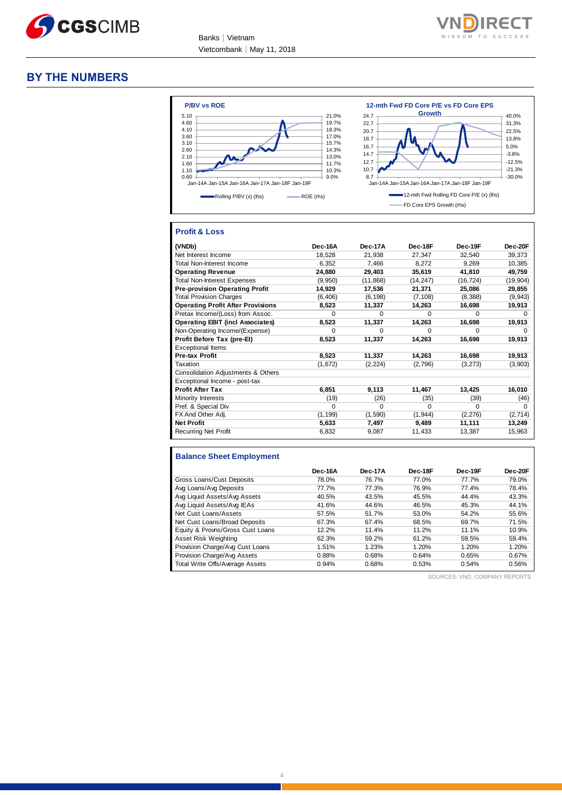



#### **BY THE NUMBERS**



#### **Profit & Loss**

| (VNDb)                                   | Dec-16A  | Dec-17A   | Dec-18F   | Dec-19F      | Dec-20F      |
|------------------------------------------|----------|-----------|-----------|--------------|--------------|
| Net Interest Income                      | 18,528   | 21,938    | 27,347    | 32,540       | 39,373       |
| Total Non-Interest Income                | 6.352    | 7.466     | 8,272     | 9,269        | 10,385       |
| <b>Operating Revenue</b>                 | 24.880   | 29,403    | 35,619    | 41,810       | 49,759       |
| <b>Total Non-Interest Expenses</b>       | (9,950)  | (11, 868) | (14, 247) | (16, 724)    | (19,904)     |
| <b>Pre-provision Operating Profit</b>    | 14,929   | 17,536    | 21,371    | 25,086       | 29,855       |
| <b>Total Provision Charges</b>           | (6, 406) | (6, 198)  | (7, 108)  | (8,388)      | (9, 943)     |
| <b>Operating Profit After Provisions</b> | 8,523    | 11,337    | 14,263    | 16,698       | 19,913       |
| Pretax Income/(Loss) from Assoc.         | O        | $\Omega$  | O         | <sup>0</sup> | 0            |
| <b>Operating EBIT (incl Associates)</b>  | 8,523    | 11,337    | 14,263    | 16,698       | 19,913       |
| Non-Operating Income/(Expense)           | $\Omega$ | $\Omega$  | O         | $\Omega$     | O            |
| Profit Before Tax (pre-El)               | 8,523    | 11,337    | 14,263    | 16,698       | 19,913       |
| <b>Exceptional Items</b>                 |          |           |           |              |              |
| <b>Pre-tax Profit</b>                    | 8,523    | 11,337    | 14,263    | 16,698       | 19,913       |
| Taxation                                 | (1,672)  | (2, 224)  | (2,796)   | (3, 273)     | (3,903)      |
| Consolidation Adjustments & Others       |          |           |           |              |              |
| Exceptional Income - post-tax            |          |           |           |              |              |
| <b>Profit After Tax</b>                  | 6,851    | 9,113     | 11,467    | 13,425       | 16,010       |
| Minority Interests                       | (19)     | (26)      | (35)      | (39)         | (46)         |
| Pref. & Special Div                      | $\Omega$ | $\Omega$  | O         | $\Omega$     | <sup>0</sup> |
| FX And Other Adj.                        | (1, 199) | (1,590)   | (1, 944)  | (2, 276)     | (2,714)      |
| <b>Net Profit</b>                        | 5,633    | 7,497     | 9,489     | 11,111       | 13,249       |
| <b>Recurring Net Profit</b>              | 6,832    | 9,087     | 11,433    | 13,387       | 15,963       |

#### **Balance Sheet Employment**

|                                  | Dec-16A | Dec-17A | Dec-18F | Dec-19F | Dec-20F |
|----------------------------------|---------|---------|---------|---------|---------|
| Gross Loans/Cust Deposits        | 78.0%   | 76.7%   | 77.0%   | 77.7%   | 79.0%   |
| Avg Loans/Avg Deposits           | 77.7%   | 77.3%   | 76.9%   | 77.4%   | 78.4%   |
| Avg Liquid Assets/Avg Assets     | 40.5%   | 43.5%   | 45.5%   | 44.4%   | 43.3%   |
| Avg Liquid Assets/Avg IEAs       | 41.6%   | 44.6%   | 46.5%   | 45.3%   | 44.1%   |
| Net Cust Loans/Assets            | 57.5%   | 51.7%   | 53.0%   | 54.2%   | 55.6%   |
| Net Cust Loans/Broad Deposits    | 67.3%   | 67.4%   | 68.5%   | 69.7%   | 71.5%   |
| Equity & Provns/Gross Cust Loans | 12.2%   | 11.4%   | 11.2%   | 11.1%   | 10.9%   |
| Asset Risk Weighting             | 62.3%   | 59.2%   | 61.2%   | 59.5%   | 59.4%   |
| Provision Charge/Avg Cust Loans  | 1.51%   | 1.23%   | 1.20%   | 1.20%   | 1.20%   |
| Provision Charge/Avg Assets      | 0.88%   | 0.68%   | 0.64%   | 0.65%   | 0.67%   |
| Total Write Offs/Average Assets  | 0.94%   | 0.68%   | 0.53%   | 0.54%   | 0.56%   |

SOURCES: VND, COMPANY REPORTS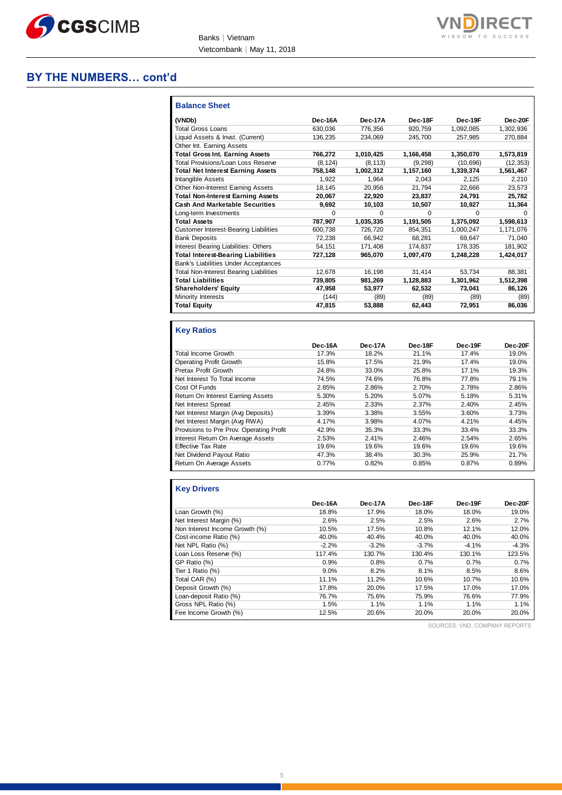

#### **BY THE NUMBERS… cont'd**

| <b>Balance Sheet</b>                          |          |           |           |           |           |
|-----------------------------------------------|----------|-----------|-----------|-----------|-----------|
| (VNDb)                                        | Dec-16A  | Dec-17A   | Dec-18F   | Dec-19F   | Dec-20F   |
| <b>Total Gross Loans</b>                      | 630,036  | 776,356   | 920,759   | 1,092,085 | 1,302,936 |
| Liquid Assets & Invst. (Current)              | 136,235  | 234,069   | 245.700   | 257.985   | 270,884   |
| Other Int. Earning Assets                     |          |           |           |           |           |
| <b>Total Gross Int. Earning Assets</b>        | 766,272  | 1,010,425 | 1,166,458 | 1,350,070 | 1,573,819 |
| Total Provisions/Loan Loss Reserve            | (8, 124) | (8, 113)  | (9,298)   | (10, 696) | (12, 353) |
| <b>Total Net Interest Earning Assets</b>      | 758,148  | 1,002,312 | 1,157,160 | 1,339,374 | 1,561,467 |
| Intangible Assets                             | 1.922    | 1.964     | 2.043     | 2.125     | 2.210     |
| Other Non-Interest Earning Assets             | 18,145   | 20,956    | 21,794    | 22,666    | 23,573    |
| <b>Total Non-Interest Earning Assets</b>      | 20,067   | 22,920    | 23,837    | 24,791    | 25,782    |
| <b>Cash And Marketable Securities</b>         | 9,692    | 10,103    | 10,507    | 10,927    | 11,364    |
| Long-term Investments                         | $\Omega$ | 0         | $\Omega$  | $\Omega$  | 0         |
| <b>Total Assets</b>                           | 787,907  | 1,035,335 | 1,191,505 | 1,375,092 | 1,598,613 |
| <b>Customer Interest-Bearing Liabilities</b>  | 600,738  | 726.720   | 854.351   | 1.000.247 | 1,171,076 |
| <b>Bank Deposits</b>                          | 72.238   | 66.942    | 68.281    | 69,647    | 71,040    |
| Interest Bearing Liabilities: Others          | 54,151   | 171,408   | 174.837   | 178,335   | 181,902   |
| <b>Total Interest-Bearing Liabilities</b>     | 727,128  | 965.070   | 1.097.470 | 1,248,228 | 1,424,017 |
| Bank's Liabilities Under Acceptances          |          |           |           |           |           |
| <b>Total Non-Interest Bearing Liabilities</b> | 12,678   | 16,198    | 31,414    | 53.734    | 88,381    |
| <b>Total Liabilities</b>                      | 739,805  | 981,269   | 1,128,883 | 1,301,962 | 1,512,398 |
| <b>Shareholders' Equity</b>                   | 47,958   | 53.977    | 62.532    | 73.041    | 86,126    |
| Minority Interests                            | (144)    | (89)      | (89)      | (89)      | (89)      |
| <b>Total Equity</b>                           | 47,815   | 53,888    | 62,443    | 72,951    | 86,036    |

#### **Key Ratios**

|                                          | Dec-16A | Dec-17A | Dec-18F | Dec-19F | Dec-20F |
|------------------------------------------|---------|---------|---------|---------|---------|
| Total Income Growth                      | 17.3%   | 18.2%   | 21.1%   | 17.4%   | 19.0%   |
| <b>Operating Profit Growth</b>           | 15.8%   | 17.5%   | 21.9%   | 17.4%   | 19.0%   |
| <b>Pretax Profit Growth</b>              | 24.8%   | 33.0%   | 25.8%   | 17.1%   | 19.3%   |
| Net Interest To Total Income             | 74.5%   | 74.6%   | 76.8%   | 77.8%   | 79.1%   |
| Cost Of Funds                            | 2.85%   | 2.86%   | 2.70%   | 2.78%   | 2.86%   |
| Return On Interest Earning Assets        | 5.30%   | 5.20%   | 5.07%   | 5.18%   | 5.31%   |
| Net Interest Spread                      | 2.45%   | 2.33%   | 2.37%   | 2.40%   | 2.45%   |
| Net Interest Margin (Avg Deposits)       | 3.39%   | 3.38%   | 3.55%   | 3.60%   | 3.73%   |
| Net Interest Margin (Avg RWA)            | 4.17%   | 3.98%   | 4.07%   | 4.21%   | 4.45%   |
| Provisions to Pre Prov. Operating Profit | 42.9%   | 35.3%   | 33.3%   | 33.4%   | 33.3%   |
| Interest Return On Average Assets        | 2.53%   | 2.41%   | 2.46%   | 2.54%   | 2.65%   |
| <b>Effective Tax Rate</b>                | 19.6%   | 19.6%   | 19.6%   | 19.6%   | 19.6%   |
| Net Dividend Payout Ratio                | 47.3%   | 38.4%   | 30.3%   | 25.9%   | 21.7%   |
| Return On Average Assets                 | 0.77%   | 0.82%   | 0.85%   | 0.87%   | 0.89%   |

### **Key Drivers**

|                                | Dec-16A | Dec-17A | Dec-18F | Dec-19F | Dec-20F |
|--------------------------------|---------|---------|---------|---------|---------|
| Loan Growth (%)                | 18.8%   | 17.9%   | 18.0%   | 18.0%   | 19.0%   |
| Net Interest Margin (%)        | 2.6%    | 2.5%    | 2.5%    | 2.6%    | 2.7%    |
| Non Interest Income Growth (%) | 10.5%   | 17.5%   | 10.8%   | 12.1%   | 12.0%   |
| Cost-income Ratio (%)          | 40.0%   | 40.4%   | 40.0%   | 40.0%   | 40.0%   |
| Net NPL Ratio (%)              | $-2.2%$ | $-3.2%$ | $-3.7%$ | $-4.1%$ | $-4.3%$ |
| Loan Loss Reserve (%)          | 117.4%  | 130.7%  | 130.4%  | 130.1%  | 123.5%  |
| GP Ratio (%)                   | 0.9%    | 0.8%    | 0.7%    | 0.7%    | 0.7%    |
| Tier 1 Ratio (%)               | 9.0%    | 8.2%    | 8.1%    | 8.5%    | 8.6%    |
| Total CAR (%)                  | 11.1%   | 11.2%   | 10.6%   | 10.7%   | 10.6%   |
| Deposit Growth (%)             | 17.8%   | 20.0%   | 17.5%   | 17.0%   | 17.0%   |
| Loan-deposit Ratio (%)         | 76.7%   | 75.6%   | 75.9%   | 76.6%   | 77.9%   |
| Gross NPL Ratio (%)            | 1.5%    | 1.1%    | 1.1%    | 1.1%    | 1.1%    |
| Fee Income Growth (%)          | 12.5%   | 20.6%   | 20.0%   | 20.0%   | 20.0%   |

SOURCES: VND, COMPANY REPORTS

**IRECT**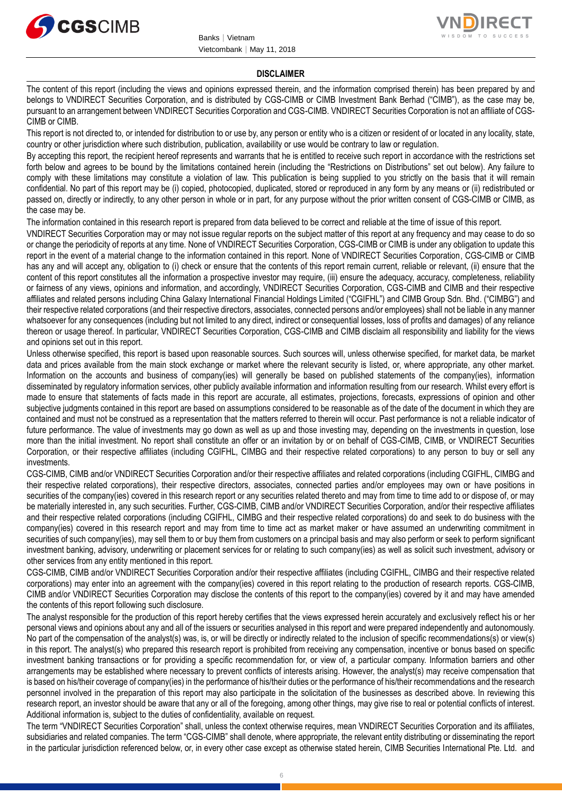



#### **DISCLAIMER**

The content of this report (including the views and opinions expressed therein, and the information comprised therein) has been prepared by and belongs to VNDIRECT Securities Corporation, and is distributed by CGS-CIMB or CIMB Investment Bank Berhad ("CIMB"), as the case may be, pursuant to an arrangement between VNDIRECT Securities Corporation and CGS-CIMB. VNDIRECT Securities Corporation is not an affiliate of CGS-CIMB or CIMB.

This report is not directed to, or intended for distribution to or use by, any person or entity who is a citizen or resident of or located in any locality, state, country or other jurisdiction where such distribution, publication, availability or use would be contrary to law or regulation.

By accepting this report, the recipient hereof represents and warrants that he is entitled to receive such report in accordance with the restrictions set forth below and agrees to be bound by the limitations contained herein (including the "Restrictions on Distributions" set out below). Any failure to comply with these limitations may constitute a violation of law. This publication is being supplied to you strictly on the basis that it will remain confidential. No part of this report may be (i) copied, photocopied, duplicated, stored or reproduced in any form by any means or (ii) redistributed or passed on, directly or indirectly, to any other person in whole or in part, for any purpose without the prior written consent of CGS-CIMB or CIMB, as the case may be.

The information contained in this research report is prepared from data believed to be correct and reliable at the time of issue of this report.

VNDIRECT Securities Corporation may or may not issue regular reports on the subject matter of this report at any frequency and may cease to do so or change the periodicity of reports at any time. None of VNDIRECT Securities Corporation, CGS-CIMB or CIMB is under any obligation to update this report in the event of a material change to the information contained in this report. None of VNDIRECT Securities Corporation, CGS-CIMB or CIMB has any and will accept any, obligation to (i) check or ensure that the contents of this report remain current, reliable or relevant, (ii) ensure that the content of this report constitutes all the information a prospective investor may require, (iii) ensure the adequacy, accuracy, completeness, reliability or fairness of any views, opinions and information, and accordingly, VNDIRECT Securities Corporation, CGS-CIMB and CIMB and their respective affiliates and related persons including China Galaxy International Financial Holdings Limited ("CGIFHL") and CIMB Group Sdn. Bhd. ("CIMBG") and their respective related corporations (and their respective directors, associates, connected persons and/or employees) shall not be liable in any manner whatsoever for any consequences (including but not limited to any direct, indirect or consequential losses, loss of profits and damages) of any reliance thereon or usage thereof. In particular, VNDIRECT Securities Corporation, CGS-CIMB and CIMB disclaim all responsibility and liability for the views and opinions set out in this report.

Unless otherwise specified, this report is based upon reasonable sources. Such sources will, unless otherwise specified, for market data, be market data and prices available from the main stock exchange or market where the relevant security is listed, or, where appropriate, any other market. Information on the accounts and business of company(ies) will generally be based on published statements of the company(ies), information disseminated by regulatory information services, other publicly available information and information resulting from our research. Whilst every effort is made to ensure that statements of facts made in this report are accurate, all estimates, projections, forecasts, expressions of opinion and other subjective judgments contained in this report are based on assumptions considered to be reasonable as of the date of the document in which they are contained and must not be construed as a representation that the matters referred to therein will occur. Past performance is not a reliable indicator of future performance. The value of investments may go down as well as up and those investing may, depending on the investments in question, lose more than the initial investment. No report shall constitute an offer or an invitation by or on behalf of CGS-CIMB, CIMB, or VNDIRECT Securities Corporation, or their respective affiliates (including CGIFHL, CIMBG and their respective related corporations) to any person to buy or sell any investments.

CGS-CIMB, CIMB and/or VNDIRECT Securities Corporation and/or their respective affiliates and related corporations (including CGIFHL, CIMBG and their respective related corporations), their respective directors, associates, connected parties and/or employees may own or have positions in securities of the company(ies) covered in this research report or any securities related thereto and may from time to time add to or dispose of, or may be materially interested in, any such securities. Further, CGS-CIMB, CIMB and/or VNDIRECT Securities Corporation, and/or their respective affiliates and their respective related corporations (including CGIFHL, CIMBG and their respective related corporations) do and seek to do business with the company(ies) covered in this research report and may from time to time act as market maker or have assumed an underwriting commitment in securities of such company(ies), may sell them to or buy them from customers on a principal basis and may also perform or seek to perform significant investment banking, advisory, underwriting or placement services for or relating to such company(ies) as well as solicit such investment, advisory or other services from any entity mentioned in this report.

CGS-CIMB, CIMB and/or VNDIRECT Securities Corporation and/or their respective affiliates (including CGIFHL, CIMBG and their respective related corporations) may enter into an agreement with the company(ies) covered in this report relating to the production of research reports. CGS-CIMB, CIMB and/or VNDIRECT Securities Corporation may disclose the contents of this report to the company(ies) covered by it and may have amended the contents of this report following such disclosure.

The analyst responsible for the production of this report hereby certifies that the views expressed herein accurately and exclusively reflect his or her personal views and opinions about any and all of the issuers or securities analysed in this report and were prepared independently and autonomously. No part of the compensation of the analyst(s) was, is, or will be directly or indirectly related to the inclusion of specific recommendations(s) or view(s) in this report. The analyst(s) who prepared this research report is prohibited from receiving any compensation, incentive or bonus based on specific investment banking transactions or for providing a specific recommendation for, or view of, a particular company. Information barriers and other arrangements may be established where necessary to prevent conflicts of interests arising. However, the analyst(s) may receive compensation that is based on his/their coverage of company(ies) in the performance of his/their duties or the performance of his/their recommendations and the research personnel involved in the preparation of this report may also participate in the solicitation of the businesses as described above. In reviewing this research report, an investor should be aware that any or all of the foregoing, among other things, may give rise to real or potential conflicts of interest. Additional information is, subject to the duties of confidentiality, available on request.

The term "VNDIRECT Securities Corporation" shall, unless the context otherwise requires, mean VNDIRECT Securities Corporation and its affiliates, subsidiaries and related companies. The term "CGS-CIMB" shall denote, where appropriate, the relevant entity distributing or disseminating the report in the particular jurisdiction referenced below, or, in every other case except as otherwise stated herein, CIMB Securities International Pte. Ltd. and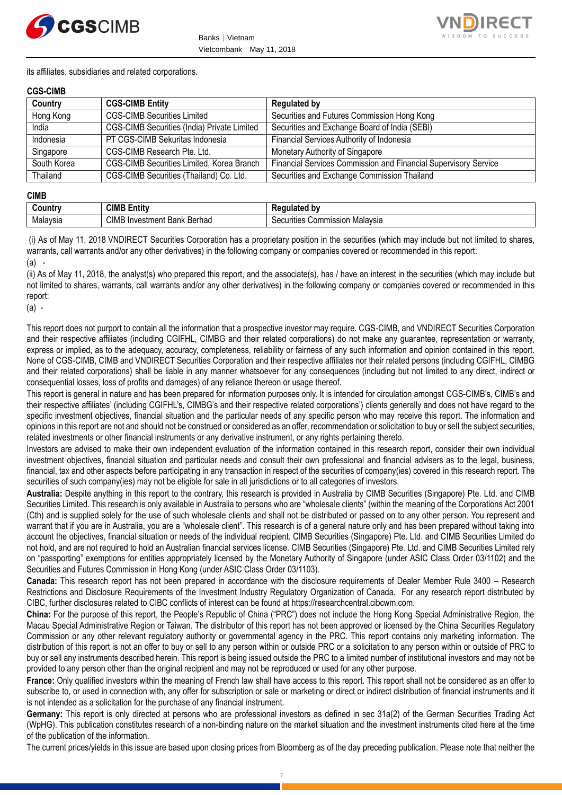



its affiliates, subsidiaries and related corporations.

#### **CGS-CIMB**

| Country     | <b>CGS-CIMB Entity</b>                      | <b>Regulated by</b>                                             |
|-------------|---------------------------------------------|-----------------------------------------------------------------|
| Hong Kong   | <b>CGS-CIMB Securities Limited</b>          | Securities and Futures Commission Hong Kong                     |
| India       | CGS-CIMB Securities (India) Private Limited | Securities and Exchange Board of India (SEBI)                   |
| Indonesia   | PT CGS-CIMB Sekuritas Indonesia             | Financial Services Authority of Indonesia                       |
| Singapore   | CGS-CIMB Research Pte. Ltd.                 | Monetary Authority of Singapore                                 |
| South Korea | CGS-CIMB Securities Limited, Korea Branch   | Financial Services Commission and Financial Supervisory Service |
| Thailand    | CGS-CIMB Securities (Thailand) Co. Ltd.     | Securities and Exchange Commission Thailand                     |

#### **CIMB**

| untry    | <b>CIMB</b><br>.<br>Entity                    | ated bv                                                                           |
|----------|-----------------------------------------------|-----------------------------------------------------------------------------------|
| Malaysia | <b>CIMB</b><br>∶Berhad<br>Bank<br>√Investment | ;ommission<br>. Malavsır<br>ïties<br>ឹ<br><u>ж.</u><br>\ ,\ ,\ \ \ \ \<br>וסוכי ו |

(i) As of May 11, 2018 VNDIRECT Securities Corporation has a proprietary position in the securities (which may include but not limited to shares, warrants, call warrants and/or any other derivatives) in the following company or companies covered or recommended in this report: (a) -

(ii) As of May 11, 2018, the analyst(s) who prepared this report, and the associate(s), has / have an interest in the securities (which may include but not limited to shares, warrants, call warrants and/or any other derivatives) in the following company or companies covered or recommended in this report:

(a) -

This report does not purport to contain all the information that a prospective investor may require. CGS-CIMB, and VNDIRECT Securities Corporation and their respective affiliates (including CGIFHL, CIMBG and their related corporations) do not make any guarantee, representation or warranty, express or implied, as to the adequacy, accuracy, completeness, reliability or fairness of any such information and opinion contained in this report. None of CGS-CIMB, CIMB and VNDIRECT Securities Corporation and their respective affiliates nor their related persons (including CGIFHL, CIMBG and their related corporations) shall be liable in any manner whatsoever for any consequences (including but not limited to any direct, indirect or consequential losses, loss of profits and damages) of any reliance thereon or usage thereof.

This report is general in nature and has been prepared for information purposes only. It is intended for circulation amongst CGS-CIMB's, CIMB's and their respective affiliates' (including CGIFHL's, CIMBG's and their respective related corporations') clients generally and does not have regard to the specific investment objectives, financial situation and the particular needs of any specific person who may receive this report. The information and opinions in this report are not and should not be construed or considered as an offer, recommendation or solicitation to buy or sell the subject securities, related investments or other financial instruments or any derivative instrument, or any rights pertaining thereto.

Investors are advised to make their own independent evaluation of the information contained in this research report, consider their own individual investment objectives, financial situation and particular needs and consult their own professional and financial advisers as to the legal, business, financial, tax and other aspects before participating in any transaction in respect of the securities of company(ies) covered in this research report. The securities of such company(ies) may not be eligible for sale in all jurisdictions or to all categories of investors.

**Australia:** Despite anything in this report to the contrary, this research is provided in Australia by CIMB Securities (Singapore) Pte. Ltd. and CIMB Securities Limited. This research is only available in Australia to persons who are "wholesale clients" (within the meaning of the Corporations Act 2001 (Cth) and is supplied solely for the use of such wholesale clients and shall not be distributed or passed on to any other person. You represent and warrant that if you are in Australia, you are a "wholesale client". This research is of a general nature only and has been prepared without taking into account the objectives, financial situation or needs of the individual recipient. CIMB Securities (Singapore) Pte. Ltd. and CIMB Securities Limited do not hold, and are not required to hold an Australian financial services license. CIMB Securities (Singapore) Pte. Ltd. and CIMB Securities Limited rely on "passporting" exemptions for entities appropriately licensed by the Monetary Authority of Singapore (under ASIC Class Order 03/1102) and the Securities and Futures Commission in Hong Kong (under ASIC Class Order 03/1103).

**Canada:** This research report has not been prepared in accordance with the disclosure requirements of Dealer Member Rule 3400 – Research Restrictions and Disclosure Requirements of the Investment Industry Regulatory Organization of Canada. For any research report distributed by CIBC, further disclosures related to CIBC conflicts of interest can be found at https://researchcentral.cibcwm.com.

**China:** For the purpose of this report, the People's Republic of China ("PRC") does not include the Hong Kong Special Administrative Region, the Macau Special Administrative Region or Taiwan. The distributor of this report has not been approved or licensed by the China Securities Regulatory Commission or any other relevant regulatory authority or governmental agency in the PRC. This report contains only marketing information. The distribution of this report is not an offer to buy or sell to any person within or outside PRC or a solicitation to any person within or outside of PRC to buy or sell any instruments described herein. This report is being issued outside the PRC to a limited number of institutional investors and may not be provided to any person other than the original recipient and may not be reproduced or used for any other purpose.

**France:** Only qualified investors within the meaning of French law shall have access to this report. This report shall not be considered as an offer to subscribe to, or used in connection with, any offer for subscription or sale or marketing or direct or indirect distribution of financial instruments and it is not intended as a solicitation for the purchase of any financial instrument.

**Germany:** This report is only directed at persons who are professional investors as defined in sec 31a(2) of the German Securities Trading Act (WpHG). This publication constitutes research of a non-binding nature on the market situation and the investment instruments cited here at the time of the publication of the information.

The current prices/yields in this issue are based upon closing prices from Bloomberg as of the day preceding publication. Please note that neither the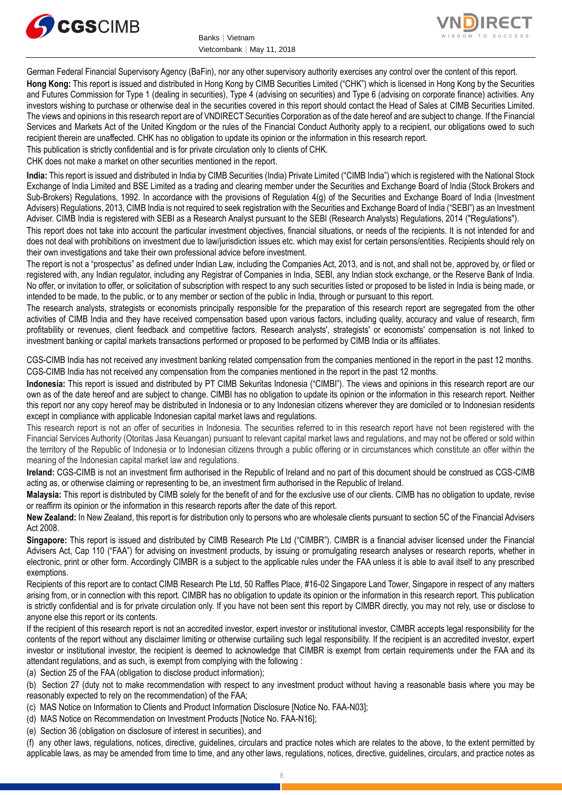



German Federal Financial Supervisory Agency (BaFin), nor any other supervisory authority exercises any control over the content of this report. **Hong Kong:** This report is issued and distributed in Hong Kong by CIMB Securities Limited ("CHK") which is licensed in Hong Kong by the Securities and Futures Commission for Type 1 (dealing in securities), Type 4 (advising on securities) and Type 6 (advising on corporate finance) activities. Any investors wishing to purchase or otherwise deal in the securities covered in this report should contact the Head of Sales at CIMB Securities Limited. The views and opinions in this research report are of VNDIRECT Securities Corporation as of the date hereof and are subject to change. If the Financial Services and Markets Act of the United Kingdom or the rules of the Financial Conduct Authority apply to a recipient, our obligations owed to such recipient therein are unaffected. CHK has no obligation to update its opinion or the information in this research report.

This publication is strictly confidential and is for private circulation only to clients of CHK.

CHK does not make a market on other securities mentioned in the report.

**India:** This report is issued and distributed in India by CIMB Securities (India) Private Limited ("CIMB India") which is registered with the National Stock Exchange of India Limited and BSE Limited as a trading and clearing member under the Securities and Exchange Board of India (Stock Brokers and Sub-Brokers) Regulations, 1992. In accordance with the provisions of Regulation 4(g) of the Securities and Exchange Board of India (Investment Advisers) Regulations, 2013, CIMB India is not required to seek registration with the Securities and Exchange Board of India ("SEBI") as an Investment Adviser. CIMB India is registered with SEBI as a Research Analyst pursuant to the SEBI (Research Analysts) Regulations, 2014 ("Regulations").

This report does not take into account the particular investment objectives, financial situations, or needs of the recipients. It is not intended for and does not deal with prohibitions on investment due to law/jurisdiction issues etc. which may exist for certain persons/entities. Recipients should rely on their own investigations and take their own professional advice before investment.

The report is not a "prospectus" as defined under Indian Law, including the Companies Act, 2013, and is not, and shall not be, approved by, or filed or registered with, any Indian regulator, including any Registrar of Companies in India, SEBI, any Indian stock exchange, or the Reserve Bank of India. No offer, or invitation to offer, or solicitation of subscription with respect to any such securities listed or proposed to be listed in India is being made, or intended to be made, to the public, or to any member or section of the public in India, through or pursuant to this report.

The research analysts, strategists or economists principally responsible for the preparation of this research report are segregated from the other activities of CIMB India and they have received compensation based upon various factors, including quality, accuracy and value of research, firm profitability or revenues, client feedback and competitive factors. Research analysts', strategists' or economists' compensation is not linked to investment banking or capital markets transactions performed or proposed to be performed by CIMB India or its affiliates.

CGS-CIMB India has not received any investment banking related compensation from the companies mentioned in the report in the past 12 months. CGS-CIMB India has not received any compensation from the companies mentioned in the report in the past 12 months.

**Indonesia:** This report is issued and distributed by PT CIMB Sekuritas Indonesia ("CIMBI"). The views and opinions in this research report are our own as of the date hereof and are subject to change. CIMBI has no obligation to update its opinion or the information in this research report. Neither this report nor any copy hereof may be distributed in Indonesia or to any Indonesian citizens wherever they are domiciled or to Indonesian residents except in compliance with applicable Indonesian capital market laws and regulations.

This research report is not an offer of securities in Indonesia. The securities referred to in this research report have not been registered with the Financial Services Authority (Otoritas Jasa Keuangan) pursuant to relevant capital market laws and regulations, and may not be offered or sold within the territory of the Republic of Indonesia or to Indonesian citizens through a public offering or in circumstances which constitute an offer within the meaning of the Indonesian capital market law and regulations.

**Ireland:** CGS-CIMB is not an investment firm authorised in the Republic of Ireland and no part of this document should be construed as CGS-CIMB acting as, or otherwise claiming or representing to be, an investment firm authorised in the Republic of Ireland.

**Malaysia:** This report is distributed by CIMB solely for the benefit of and for the exclusive use of our clients. CIMB has no obligation to update, revise or reaffirm its opinion or the information in this research reports after the date of this report.

**New Zealand:** In New Zealand, this report is for distribution only to persons who are wholesale clients pursuant to section 5C of the Financial Advisers Act 2008.

**Singapore:** This report is issued and distributed by CIMB Research Pte Ltd ("CIMBR"). CIMBR is a financial adviser licensed under the Financial Advisers Act, Cap 110 ("FAA") for advising on investment products, by issuing or promulgating research analyses or research reports, whether in electronic, print or other form. Accordingly CIMBR is a subject to the applicable rules under the FAA unless it is able to avail itself to any prescribed exemptions.

Recipients of this report are to contact CIMB Research Pte Ltd, 50 Raffles Place, #16-02 Singapore Land Tower, Singapore in respect of any matters arising from, or in connection with this report. CIMBR has no obligation to update its opinion or the information in this research report. This publication is strictly confidential and is for private circulation only. If you have not been sent this report by CIMBR directly, you may not rely, use or disclose to anyone else this report or its contents.

If the recipient of this research report is not an accredited investor, expert investor or institutional investor, CIMBR accepts legal responsibility for the contents of the report without any disclaimer limiting or otherwise curtailing such legal responsibility. If the recipient is an accredited investor, expert investor or institutional investor, the recipient is deemed to acknowledge that CIMBR is exempt from certain requirements under the FAA and its attendant regulations, and as such, is exempt from complying with the following :

(a) Section 25 of the FAA (obligation to disclose product information);

(b) Section 27 (duty not to make recommendation with respect to any investment product without having a reasonable basis where you may be reasonably expected to rely on the recommendation) of the FAA;

(c) MAS Notice on Information to Clients and Product Information Disclosure [Notice No. FAA-N03];

(d) MAS Notice on Recommendation on Investment Products [Notice No. FAA-N16];

(e) Section 36 (obligation on disclosure of interest in securities), and

(f) any other laws, regulations, notices, directive, guidelines, circulars and practice notes which are relates to the above, to the extent permitted by applicable laws, as may be amended from time to time, and any other laws, regulations, notices, directive, guidelines, circulars, and practice notes as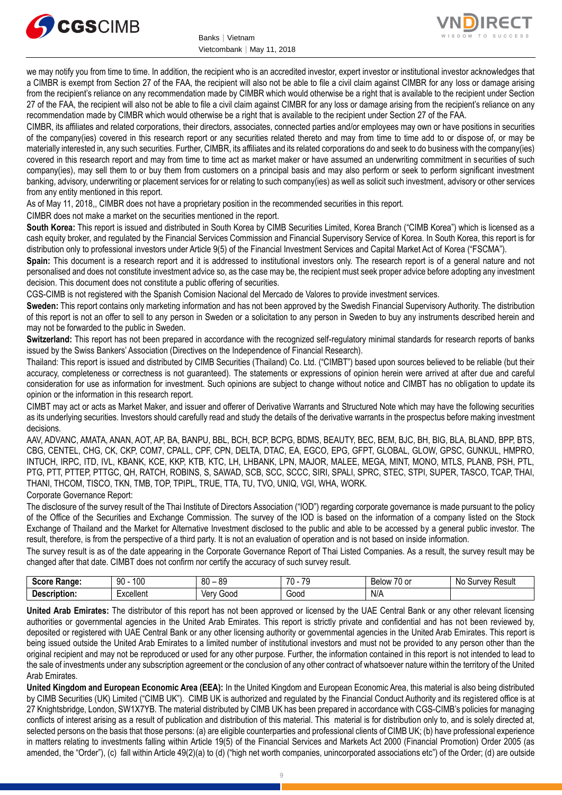



we may notify you from time to time. In addition, the recipient who is an accredited investor, expert investor or institutional investor acknowledges that a CIMBR is exempt from Section 27 of the FAA, the recipient will also not be able to file a civil claim against CIMBR for any loss or damage arising from the recipient's reliance on any recommendation made by CIMBR which would otherwise be a right that is available to the recipient under Section 27 of the FAA, the recipient will also not be able to file a civil claim against CIMBR for any loss or damage arising from the recipient's reliance on any recommendation made by CIMBR which would otherwise be a right that is available to the recipient under Section 27 of the FAA.

CIMBR, its affiliates and related corporations, their directors, associates, connected parties and/or employees may own or have positions in securities of the company(ies) covered in this research report or any securities related thereto and may from time to time add to or dispose of, or may be materially interested in, any such securities. Further, CIMBR, its affiliates and its related corporations do and seek to do business with the company(ies) covered in this research report and may from time to time act as market maker or have assumed an underwriting commitment in securities of such company(ies), may sell them to or buy them from customers on a principal basis and may also perform or seek to perform significant investment banking, advisory, underwriting or placement services for or relating to such company(ies) as well as solicit such investment, advisory or other services from any entity mentioned in this report.

As of May 11, 2018,, CIMBR does not have a proprietary position in the recommended securities in this report.

CIMBR does not make a market on the securities mentioned in the report.

**South Korea:** This report is issued and distributed in South Korea by CIMB Securities Limited, Korea Branch ("CIMB Korea") which is licensed as a cash equity broker, and regulated by the Financial Services Commission and Financial Supervisory Service of Korea. In South Korea, this report is for distribution only to professional investors under Article 9(5) of the Financial Investment Services and Capital Market Act of Korea ("FSCMA").

**Spain:** This document is a research report and it is addressed to institutional investors only. The research report is of a general nature and not personalised and does not constitute investment advice so, as the case may be, the recipient must seek proper advice before adopting any investment decision. This document does not constitute a public offering of securities.

CGS-CIMB is not registered with the Spanish Comision Nacional del Mercado de Valores to provide investment services.

**Sweden:** This report contains only marketing information and has not been approved by the Swedish Financial Supervisory Authority. The distribution of this report is not an offer to sell to any person in Sweden or a solicitation to any person in Sweden to buy any instruments described herein and may not be forwarded to the public in Sweden.

**Switzerland:** This report has not been prepared in accordance with the recognized self-regulatory minimal standards for research reports of banks issued by the Swiss Bankers' Association (Directives on the Independence of Financial Research).

Thailand: This report is issued and distributed by CIMB Securities (Thailand) Co. Ltd. ("CIMBT") based upon sources believed to be reliable (but their accuracy, completeness or correctness is not guaranteed). The statements or expressions of opinion herein were arrived at after due and careful consideration for use as information for investment. Such opinions are subject to change without notice and CIMBT has no obligation to update its opinion or the information in this research report.

CIMBT may act or acts as Market Maker, and issuer and offerer of Derivative Warrants and Structured Note which may have the following securities as its underlying securities. Investors should carefully read and study the details of the derivative warrants in the prospectus before making investment decisions.

AAV, ADVANC, AMATA, ANAN, AOT, AP, BA, BANPU, BBL, BCH, BCP, BCPG, BDMS, BEAUTY, BEC, BEM, BJC, BH, BIG, BLA, BLAND, BPP, BTS, CBG, CENTEL, CHG, CK, CKP, COM7, CPALL, CPF, CPN, DELTA, DTAC, EA, EGCO, EPG, GFPT, GLOBAL, GLOW, GPSC, GUNKUL, HMPRO, INTUCH, IRPC, ITD, IVL, KBANK, KCE, KKP, KTB, KTC, LH, LHBANK, LPN, MAJOR, MALEE, MEGA, MINT, MONO, MTLS, PLANB, PSH, PTL, PTG, PTT, PTTEP, PTTGC, QH, RATCH, ROBINS, S, SAWAD, SCB, SCC, SCCC, SIRI, SPALI, SPRC, STEC, STPI, SUPER, TASCO, TCAP, THAI, THANI, THCOM, TISCO, TKN, TMB, TOP, TPIPL, TRUE, TTA, TU, TVO, UNIQ, VGI, WHA, WORK.

#### Corporate Governance Report:

The disclosure of the survey result of the Thai Institute of Directors Association ("IOD") regarding corporate governance is made pursuant to the policy of the Office of the Securities and Exchange Commission. The survey of the IOD is based on the information of a company listed on the Stock Exchange of Thailand and the Market for Alternative Investment disclosed to the public and able to be accessed by a general public investor. The result, therefore, is from the perspective of a third party. It is not an evaluation of operation and is not based on inside information.

The survey result is as of the date appearing in the Corporate Governance Report of Thai Listed Companies. As a result, the survey result may be changed after that date. CIMBT does not confirm nor certify the accuracy of such survey result.

| <b>CARES</b><br>⊀anαe                       | 100<br>90           | RΛ<br>or<br>o.<br>υv | $\overline{\phantom{a}}$<br><b>70</b><br>v | $\sim$ $\sim$<br><b>Below</b><br>$\sim$<br>O<br> | .Nc<br>Result<br><b>VAV</b><br><br>וור |
|---------------------------------------------|---------------------|----------------------|--------------------------------------------|--------------------------------------------------|----------------------------------------|
| . .<br>. <b>.</b><br>----<br>. Jes<br>nuon. | woollon*<br>יייטווע | 000د<br>Verv         | Good<br>.                                  | N/A                                              |                                        |

**United Arab Emirates:** The distributor of this report has not been approved or licensed by the UAE Central Bank or any other relevant licensing authorities or governmental agencies in the United Arab Emirates. This report is strictly private and confidential and has not been reviewed by, deposited or registered with UAE Central Bank or any other licensing authority or governmental agencies in the United Arab Emirates. This report is being issued outside the United Arab Emirates to a limited number of institutional investors and must not be provided to any person other than the original recipient and may not be reproduced or used for any other purpose. Further, the information contained in this report is not intended to lead to the sale of investments under any subscription agreement or the conclusion of any other contract of whatsoever nature within the territory of the United Arab Emirates.

**United Kingdom and European Economic Area (EEA):** In the United Kingdom and European Economic Area, this material is also being distributed by CIMB Securities (UK) Limited ("CIMB UK"). CIMB UK is authorized and regulated by the Financial Conduct Authority and its registered office is at 27 Knightsbridge, London, SW1X7YB. The material distributed by CIMB UK has been prepared in accordance with CGS-CIMB's policies for managing conflicts of interest arising as a result of publication and distribution of this material. This material is for distribution only to, and is solely directed at, selected persons on the basis that those persons: (a) are eligible counterparties and professional clients of CIMB UK; (b) have professional experience in matters relating to investments falling within Article 19(5) of the Financial Services and Markets Act 2000 (Financial Promotion) Order 2005 (as amended, the "Order"), (c) fall within Article 49(2)(a) to (d) ("high net worth companies, unincorporated associations etc") of the Order; (d) are outside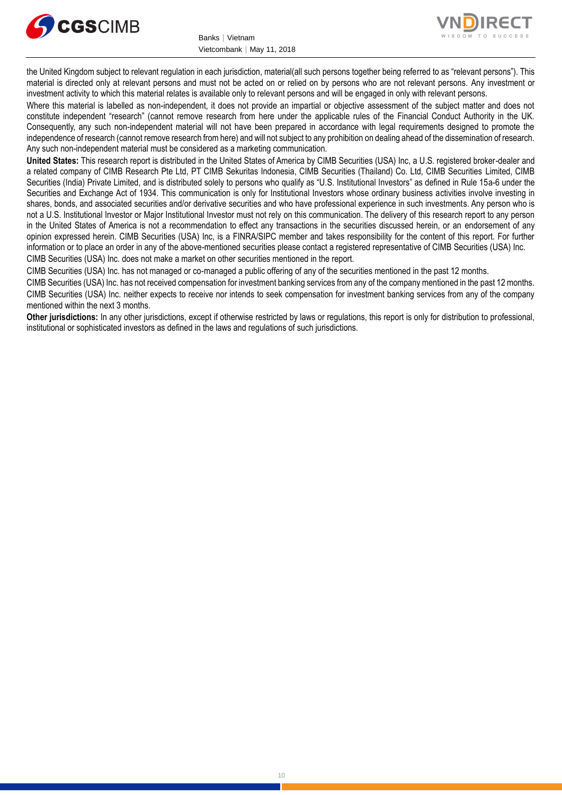



the United Kingdom subject to relevant regulation in each jurisdiction, material(all such persons together being referred to as "relevant persons"). This material is directed only at relevant persons and must not be acted on or relied on by persons who are not relevant persons. Any investment or investment activity to which this material relates is available only to relevant persons and will be engaged in only with relevant persons.

Where this material is labelled as non-independent, it does not provide an impartial or objective assessment of the subject matter and does not constitute independent "research" (cannot remove research from here under the applicable rules of the Financial Conduct Authority in the UK. Consequently, any such non-independent material will not have been prepared in accordance with legal requirements designed to promote the independence of research (cannot remove research from here) and will not subject to any prohibition on dealing ahead of the dissemination of research. Any such non-independent material must be considered as a marketing communication.

**United States:** This research report is distributed in the United States of America by CIMB Securities (USA) Inc, a U.S. registered broker-dealer and a related company of CIMB Research Pte Ltd, PT CIMB Sekuritas Indonesia, CIMB Securities (Thailand) Co. Ltd, CIMB Securities Limited, CIMB Securities (India) Private Limited, and is distributed solely to persons who qualify as "U.S. Institutional Investors" as defined in Rule 15a-6 under the Securities and Exchange Act of 1934. This communication is only for Institutional Investors whose ordinary business activities involve investing in shares, bonds, and associated securities and/or derivative securities and who have professional experience in such investments. Any person who is not a U.S. Institutional Investor or Major Institutional Investor must not rely on this communication. The delivery of this research report to any person in the United States of America is not a recommendation to effect any transactions in the securities discussed herein, or an endorsement of any opinion expressed herein. CIMB Securities (USA) Inc, is a FINRA/SIPC member and takes responsibility for the content of this report. For further information or to place an order in any of the above-mentioned securities please contact a registered representative of CIMB Securities (USA) Inc. CIMB Securities (USA) Inc. does not make a market on other securities mentioned in the report.

CIMB Securities (USA) Inc. has not managed or co-managed a public offering of any of the securities mentioned in the past 12 months.

CIMB Securities (USA) Inc. has not received compensation for investment banking services from any of the company mentioned in the past 12 months. CIMB Securities (USA) Inc. neither expects to receive nor intends to seek compensation for investment banking services from any of the company mentioned within the next 3 months.

**Other jurisdictions:** In any other jurisdictions, except if otherwise restricted by laws or regulations, this report is only for distribution to professional, institutional or sophisticated investors as defined in the laws and regulations of such jurisdictions.